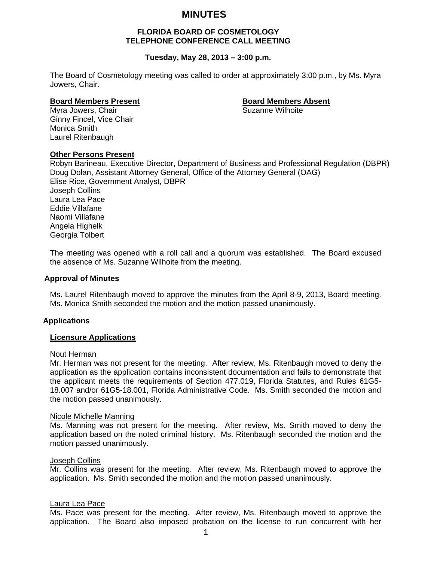## **MINUTES**

### **FLORIDA BOARD OF COSMETOLOGY TELEPHONE CONFERENCE CALL MEETING**

#### **Tuesday, May 28, 2013 – 3:00 p.m.**

The Board of Cosmetology meeting was called to order at approximately 3:00 p.m., by Ms. Myra Jowers, Chair.

# **Board Members Present Executes Absent Board Members Absent**<br>Myra Jowers, Chair

Myra Jowers, Chair Ginny Fincel, Vice Chair Monica Smith Laurel Ritenbaugh

#### **Other Persons Present**

Robyn Barineau, Executive Director, Department of Business and Professional Regulation (DBPR) Doug Dolan, Assistant Attorney General, Office of the Attorney General (OAG) Elise Rice, Government Analyst, DBPR Joseph Collins Laura Lea Pace Eddie Villafane Naomi Villafane Angela Highelk Georgia Tolbert

The meeting was opened with a roll call and a quorum was established. The Board excused the absence of Ms. Suzanne Wilhoite from the meeting.

#### **Approval of Minutes**

Ms. Laurel Ritenbaugh moved to approve the minutes from the April 8-9, 2013, Board meeting. Ms. Monica Smith seconded the motion and the motion passed unanimously.

#### **Applications**

#### **Licensure Applications**

#### Nout Herman

Mr. Herman was not present for the meeting. After review, Ms. Ritenbaugh moved to deny the application as the application contains inconsistent documentation and fails to demonstrate that the applicant meets the requirements of Section 477.019, Florida Statutes, and Rules 61G5- 18.007 and/or 61G5-18.001, Florida Administrative Code. Ms. Smith seconded the motion and the motion passed unanimously.

#### Nicole Michelle Manning

Ms. Manning was not present for the meeting. After review, Ms. Smith moved to deny the application based on the noted criminal history. Ms. Ritenbaugh seconded the motion and the motion passed unanimously.

#### **Joseph Collins**

Mr. Collins was present for the meeting. After review, Ms. Ritenbaugh moved to approve the application. Ms. Smith seconded the motion and the motion passed unanimously.

#### Laura Lea Pace

Ms. Pace was present for the meeting. After review, Ms. Ritenbaugh moved to approve the application. The Board also imposed probation on the license to run concurrent with her